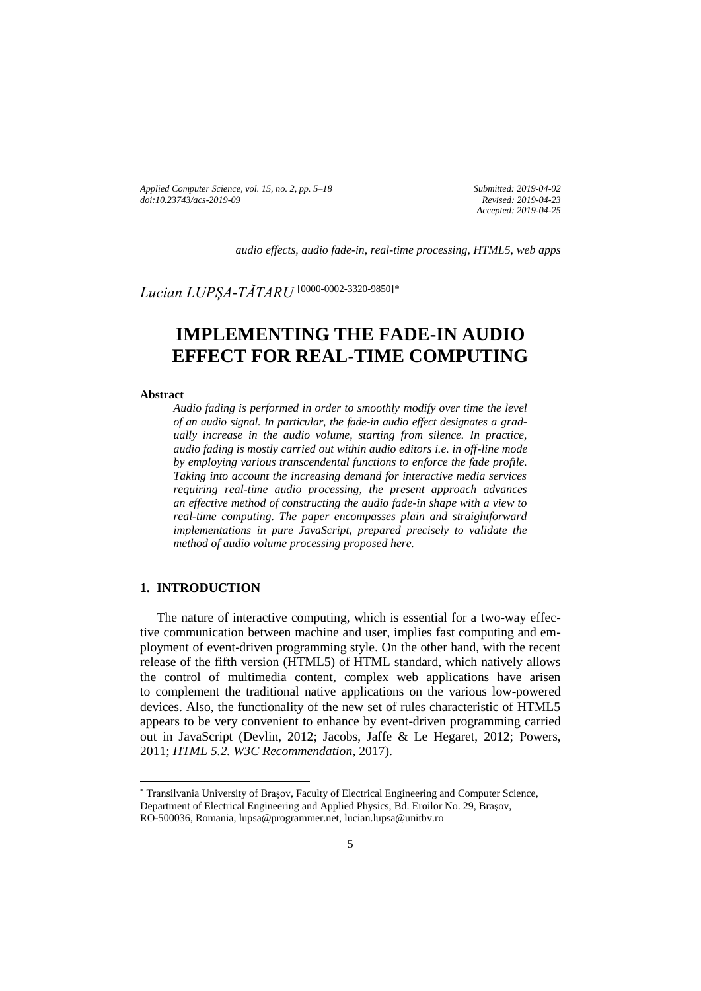*Applied Computer Science, vol. 15, no. 2, pp. 5–18 [doi:10.23743/acs-2019-09](http://acs.pollub.pl/pdf/v15n2/1.pdf)*

*Submitted: 2019-04-02 Revised: 2019-04-23 Accepted: 2019-04-25*

*audio effects, audio fade-in, real-time processing, HTML5, web apps*

*Lucian LUPŞA-TĂTARU* [\[0000-0002-3320-9850\]](https://orcid.org/0000-0002-3320-9850)*\**

# **IMPLEMENTING THE FADE-IN AUDIO EFFECT FOR REAL-TIME COMPUTING**

#### **Abstract**

l

*Audio fading is performed in order to smoothly modify over time the level of an audio signal. In particular, the fade-in audio effect designates a gradually increase in the audio volume, starting from silence. In practice, audio fading is mostly carried out within audio editors i.e. in off-line mode by employing various transcendental functions to enforce the fade profile. Taking into account the increasing demand for interactive media services requiring real-time audio processing, the present approach advances an effective method of constructing the audio fade-in shape with a view to real-time computing. The paper encompasses plain and straightforward implementations in pure JavaScript, prepared precisely to validate the method of audio volume processing proposed here.*

## **1. INTRODUCTION**

The nature of interactive computing, which is essential for a two-way effective communication between machine and user, implies fast computing and employment of event-driven programming style. On the other hand, with the recent release of the fifth version (HTML5) of HTML standard, which natively allows the control of multimedia content, complex web applications have arisen to complement the traditional native applications on the various low-powered devices. Also, the functionality of the new set of rules characteristic of HTML5 appears to be very convenient to enhance by event-driven programming carried out in JavaScript (Devlin, 2012; Jacobs, Jaffe & Le Hegaret, 2012; Powers, 2011; *HTML 5.2. W3C Recommendation*, 2017).

<sup>\*</sup> Transilvania University of Braşov, Faculty of Electrical Engineering and Computer Science, Department of Electrical Engineering and Applied Physics, Bd. Eroilor No. 29, Braşov, RO-500036, Romania, [lupsa@programmer.net,](mailto:lupsa@programmer.net) [lucian.lupsa@unitbv.ro](mailto:lucian.lupsa@unitbv.ro)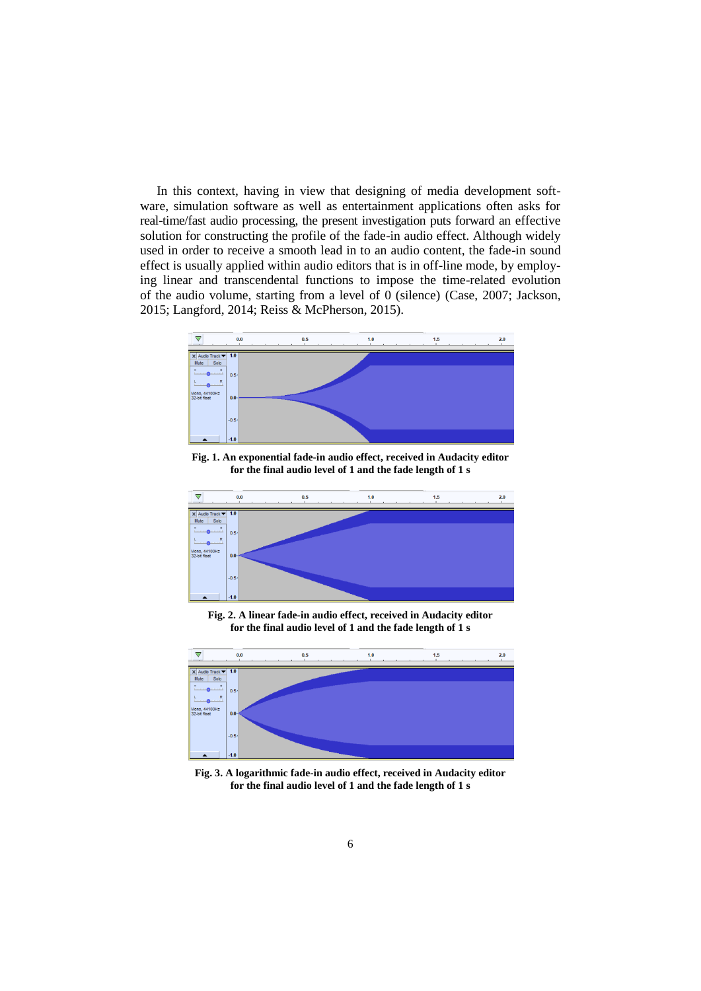In this context, having in view that designing of media development software, simulation software as well as entertainment applications often asks for real-time/fast audio processing, the present investigation puts forward an effective solution for constructing the profile of the fade-in audio effect. Although widely used in order to receive a smooth lead in to an audio content, the fade-in sound effect is usually applied within audio editors that is in off-line mode, by employing linear and transcendental functions to impose the time-related evolution of the audio volume, starting from a level of 0 (silence) (Case, 2007; Jackson, 2015; Langford, 2014; Reiss & McPherson, 2015).



**Fig. 1. An exponential fade-in audio effect, received in Audacity editor for the final audio level of 1 and the fade length of 1 s**



**Fig. 2. A linear fade-in audio effect, received in Audacity editor for the final audio level of 1 and the fade length of 1 s**



**Fig. 3. A logarithmic fade-in audio effect, received in Audacity editor for the final audio level of 1 and the fade length of 1 s**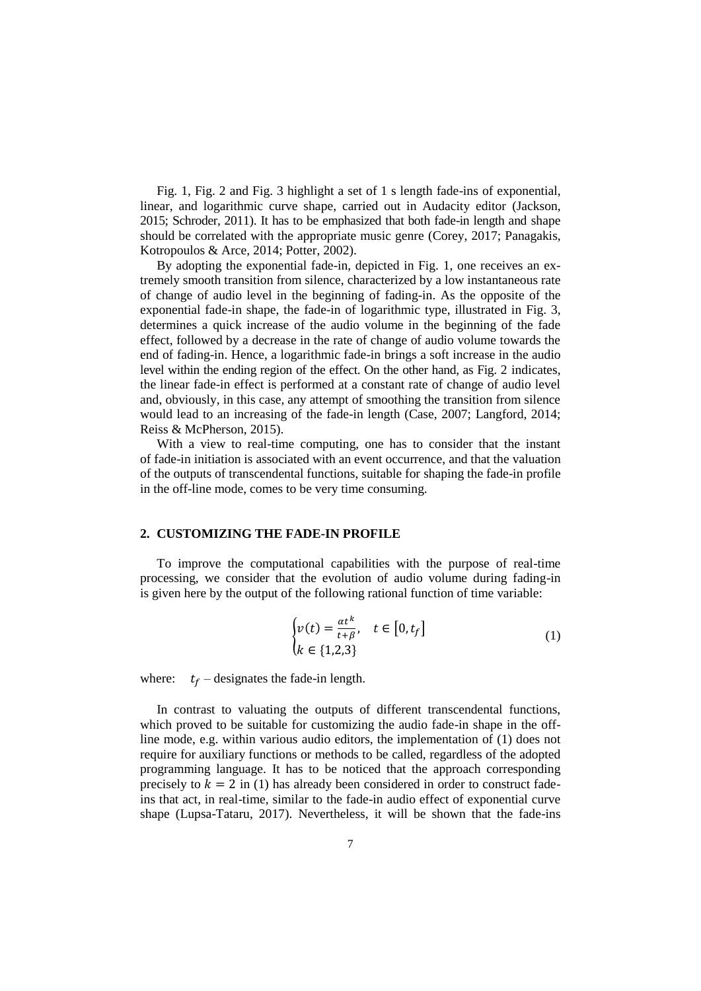Fig. 1, Fig. 2 and Fig. 3 highlight a set of 1 s length fade-ins of exponential, linear, and logarithmic curve shape, carried out in Audacity editor (Jackson, 2015; Schroder, 2011). It has to be emphasized that both fade-in length and shape should be correlated with the appropriate music genre (Corey, 2017; Panagakis, Kotropoulos & Arce, 2014; Potter, 2002).

By adopting the exponential fade-in, depicted in Fig. 1, one receives an extremely smooth transition from silence, characterized by a low instantaneous rate of change of audio level in the beginning of fading-in. As the opposite of the exponential fade-in shape, the fade-in of logarithmic type, illustrated in Fig. 3, determines a quick increase of the audio volume in the beginning of the fade effect, followed by a decrease in the rate of change of audio volume towards the end of fading-in. Hence, a logarithmic fade-in brings a soft increase in the audio level within the ending region of the effect. On the other hand, as Fig. 2 indicates, the linear fade-in effect is performed at a constant rate of change of audio level and, obviously, in this case, any attempt of smoothing the transition from silence would lead to an increasing of the fade-in length (Case, 2007; Langford, 2014; Reiss & McPherson, 2015).

With a view to real-time computing, one has to consider that the instant of fade-in initiation is associated with an event occurrence, and that the valuation of the outputs of transcendental functions, suitable for shaping the fade-in profile in the off-line mode, comes to be very time consuming.

## **2. CUSTOMIZING THE FADE-IN PROFILE**

To improve the computational capabilities with the purpose of real-time processing, we consider that the evolution of audio volume during fading-in is given here by the output of the following rational function of time variable:

$$
\begin{cases} v(t) = \frac{\alpha t^k}{t + \beta}, & t \in [0, t_f] \\ k \in \{1, 2, 3\} \end{cases}
$$
 (1)

where:  $t_f$  – designates the fade-in length.

In contrast to valuating the outputs of different transcendental functions, which proved to be suitable for customizing the audio fade-in shape in the offline mode, e.g. within various audio editors, the implementation of (1) does not require for auxiliary functions or methods to be called, regardless of the adopted programming language. It has to be noticed that the approach corresponding precisely to  $k = 2$  in (1) has already been considered in order to construct fadeins that act, in real-time, similar to the fade-in audio effect of exponential curve shape (Lupsa-Tataru, 2017). Nevertheless, it will be shown that the fade-ins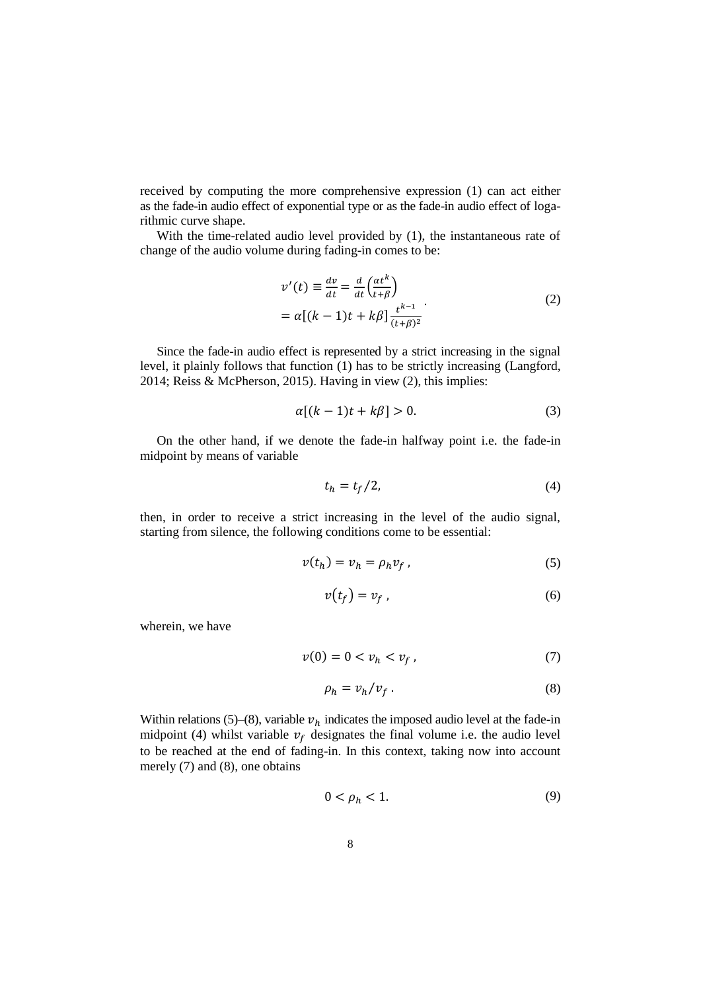received by computing the more comprehensive expression (1) can act either as the fade-in audio effect of exponential type or as the fade-in audio effect of logarithmic curve shape.

With the time-related audio level provided by (1), the instantaneous rate of change of the audio volume during fading-in comes to be:

$$
v'(t) \equiv \frac{dv}{dt} = \frac{d}{dt} \left(\frac{\alpha t^k}{t + \beta}\right)
$$
  
=  $\alpha [(k-1)t + k\beta] \frac{t^{k-1}}{(t + \beta)^2}$  (2)

Since the fade-in audio effect is represented by a strict increasing in the signal level, it plainly follows that function (1) has to be strictly increasing (Langford, 2014; Reiss & McPherson, 2015). Having in view (2), this implies:

$$
\alpha[(k-1)t + k\beta] > 0. \tag{3}
$$

On the other hand, if we denote the fade-in halfway point i.e. the fade-in midpoint by means of variable

$$
t_h = t_f/2,\tag{4}
$$

then, in order to receive a strict increasing in the level of the audio signal, starting from silence, the following conditions come to be essential:

$$
v(t_h) = v_h = \rho_h v_f \,, \tag{5}
$$

$$
v(t_f) = v_f \tag{6}
$$

wherein, we have

$$
v(0) = 0 < v_h < v_f \tag{7}
$$

$$
\rho_h = \nu_h / \nu_f \,. \tag{8}
$$

Within relations (5)–(8), variable  $v<sub>h</sub>$  indicates the imposed audio level at the fade-in midpoint (4) whilst variable  $v_f$  designates the final volume i.e. the audio level to be reached at the end of fading-in. In this context, taking now into account merely (7) and (8), one obtains

$$
0 < \rho_h < 1. \tag{9}
$$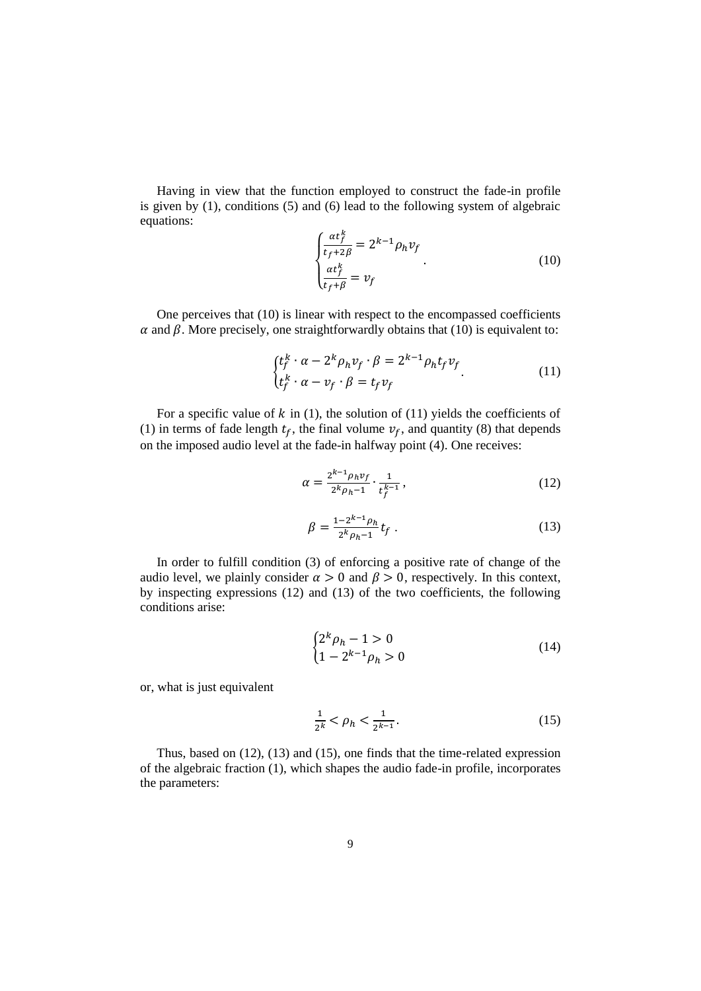Having in view that the function employed to construct the fade-in profile is given by (1), conditions (5) and (6) lead to the following system of algebraic equations:

$$
\begin{cases}\n\frac{\alpha t_f^k}{t_f + 2\beta} = 2^{k-1} \rho_h v_f \\
\frac{\alpha t_f^k}{t_f + \beta} = v_f\n\end{cases} \tag{10}
$$

One perceives that (10) is linear with respect to the encompassed coefficients  $\alpha$  and  $\beta$ . More precisely, one straightforwardly obtains that (10) is equivalent to:

$$
\begin{cases}\nt_f^k \cdot \alpha - 2^k \rho_h v_f \cdot \beta = 2^{k-1} \rho_h t_f v_f \\
t_f^k \cdot \alpha - v_f \cdot \beta = t_f v_f\n\end{cases} \tag{11}
$$

For a specific value of  $k$  in (1), the solution of (11) yields the coefficients of (1) in terms of fade length  $t_f$ , the final volume  $v_f$ , and quantity (8) that depends on the imposed audio level at the fade-in halfway point (4). One receives:

$$
\alpha = \frac{2^{k-1} \rho_h v_f}{2^k \rho_h - 1} \cdot \frac{1}{t_f^{k-1}},\tag{12}
$$

$$
\beta = \frac{1 - 2^{k-1} \rho_h}{2^k \rho_h - 1} t_f \,. \tag{13}
$$

In order to fulfill condition (3) of enforcing a positive rate of change of the audio level, we plainly consider  $\alpha > 0$  and  $\beta > 0$ , respectively. In this context, by inspecting expressions (12) and (13) of the two coefficients, the following conditions arise:

$$
\begin{cases} 2^k \rho_h - 1 > 0 \\ 1 - 2^{k-1} \rho_h > 0 \end{cases}
$$
 (14)

or, what is just equivalent

$$
\frac{1}{2^k} < \rho_h < \frac{1}{2^{k-1}}.\tag{15}
$$

Thus, based on (12), (13) and (15), one finds that the time-related expression of the algebraic fraction (1), which shapes the audio fade-in profile, incorporates the parameters: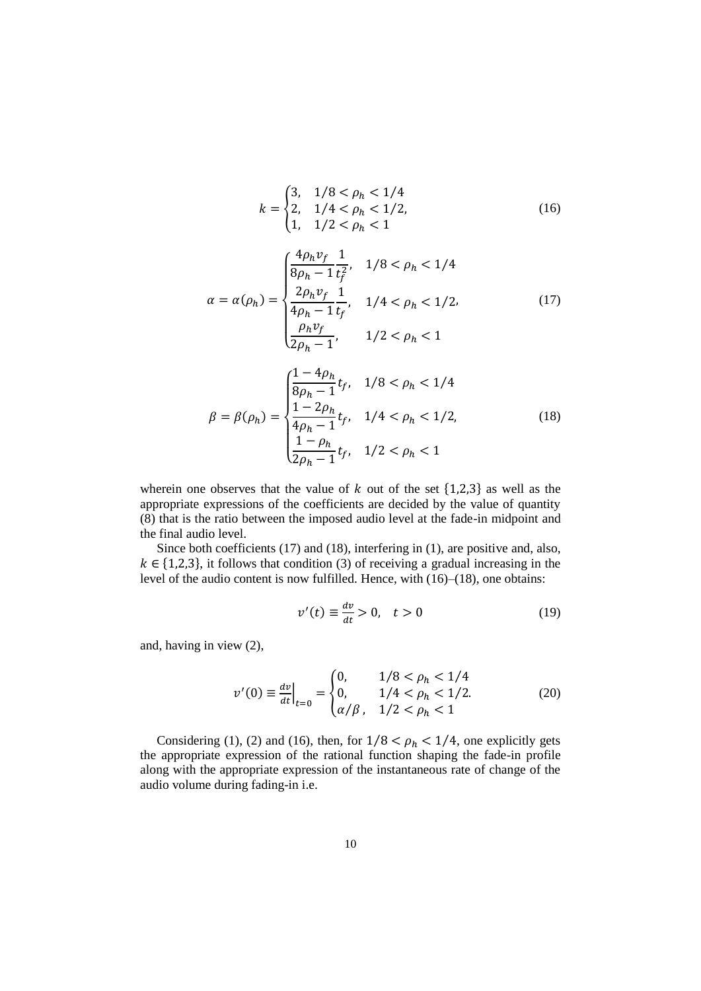$$
k = \begin{cases} 3, & 1/8 < \rho_h < 1/4 \\ 2, & 1/4 < \rho_h < 1/2, \\ 1, & 1/2 < \rho_h < 1 \end{cases} \tag{16}
$$

$$
\alpha = \alpha(\rho_h) = \begin{cases} \frac{4\rho_h v_f}{8\rho_h - 1} \frac{1}{t_f^2}, & 1/8 < \rho_h < 1/4\\ \frac{2\rho_h v_f}{4\rho_h - 1} \frac{1}{t_f}, & 1/4 < \rho_h < 1/2, \\ \frac{\rho_h v_f}{2\rho_h - 1}, & 1/2 < \rho_h < 1 \end{cases} \tag{17}
$$

$$
\beta = \beta(\rho_h) = \begin{cases}\n\frac{1 - 4\rho_h}{8\rho_h - 1} t_f, & 1/8 < \rho_h < 1/4 \\
\frac{1 - 2\rho_h}{4\rho_h - 1} t_f, & 1/4 < \rho_h < 1/2, \\
\frac{1 - \rho_h}{2\rho_h - 1} t_f, & 1/2 < \rho_h < 1\n\end{cases} \tag{18}
$$

wherein one observes that the value of  $k$  out of the set  $\{1,2,3\}$  as well as the appropriate expressions of the coefficients are decided by the value of quantity (8) that is the ratio between the imposed audio level at the fade-in midpoint and the final audio level.

Since both coefficients (17) and (18), interfering in (1), are positive and, also,  $k \in \{1,2,3\}$ , it follows that condition (3) of receiving a gradual increasing in the level of the audio content is now fulfilled. Hence, with (16)–(18), one obtains:

$$
v'(t) \equiv \frac{dv}{dt} > 0, \quad t > 0 \tag{19}
$$

and, having in view (2),

$$
v'(0) \equiv \frac{dv}{dt}\Big|_{t=0} = \begin{cases} 0, & 1/8 < \rho_h < 1/4\\ 0, & 1/4 < \rho_h < 1/2\\ \alpha/\beta, & 1/2 < \rho_h < 1 \end{cases} \tag{20}
$$

Considering (1), (2) and (16), then, for  $1/8 < \rho_h < 1/4$ , one explicitly gets the appropriate expression of the rational function shaping the fade-in profile along with the appropriate expression of the instantaneous rate of change of the audio volume during fading-in i.e.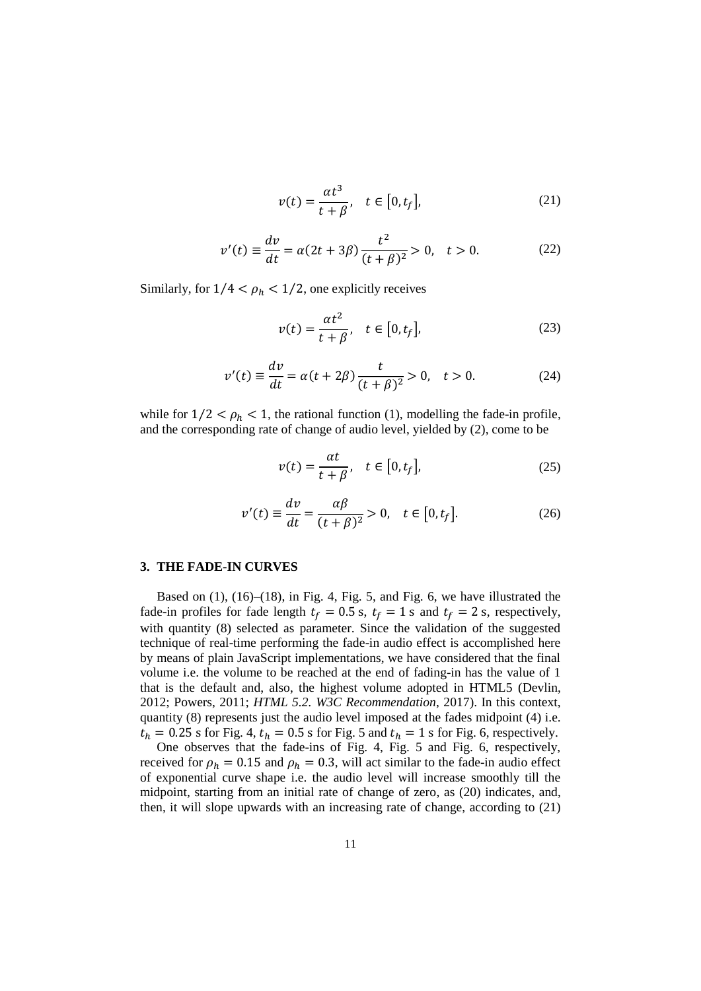$$
v(t) = \frac{\alpha t^3}{t + \beta}, \quad t \in [0, t_f], \tag{21}
$$

$$
v'(t) \equiv \frac{dv}{dt} = \alpha(2t + 3\beta) \frac{t^2}{(t + \beta)^2} > 0, \quad t > 0.
$$
 (22)

Similarly, for  $1/4 < \rho_h < 1/2$ , one explicitly receives

$$
v(t) = \frac{\alpha t^2}{t + \beta}, \quad t \in [0, t_f],
$$
\n(23)

$$
v'(t) \equiv \frac{dv}{dt} = \alpha(t + 2\beta) \frac{t}{(t + \beta)^2} > 0, \quad t > 0.
$$
 (24)

while for  $1/2 < \rho_h < 1$ , the rational function (1), modelling the fade-in profile, and the corresponding rate of change of audio level, yielded by (2), come to be

$$
v(t) = \frac{\alpha t}{t + \beta}, \quad t \in [0, t_f], \tag{25}
$$

$$
v'(t) \equiv \frac{dv}{dt} = \frac{\alpha \beta}{(t + \beta)^2} > 0, \quad t \in [0, t_f].
$$
 (26)

### **3. THE FADE-IN CURVES**

Based on (1), (16)–(18), in Fig. 4, Fig. 5, and Fig. 6, we have illustrated the fade-in profiles for fade length  $t_f = 0.5$  s,  $t_f = 1$  s and  $t_f = 2$  s, respectively, with quantity (8) selected as parameter. Since the validation of the suggested technique of real-time performing the fade-in audio effect is accomplished here by means of plain JavaScript implementations, we have considered that the final volume i.e. the volume to be reached at the end of fading-in has the value of 1 that is the default and, also, the highest volume adopted in HTML5 (Devlin, 2012; Powers, 2011; *HTML 5.2. W3C Recommendation*, 2017). In this context, quantity (8) represents just the audio level imposed at the fades midpoint (4) i.e.  $t_h = 0.25$  s for Fig. 4,  $t_h = 0.5$  s for Fig. 5 and  $t_h = 1$  s for Fig. 6, respectively.

One observes that the fade-ins of Fig. 4, Fig. 5 and Fig. 6, respectively, received for  $\rho_h = 0.15$  and  $\rho_h = 0.3$ , will act similar to the fade-in audio effect of exponential curve shape i.e. the audio level will increase smoothly till the midpoint, starting from an initial rate of change of zero, as (20) indicates, and, then, it will slope upwards with an increasing rate of change, according to (21)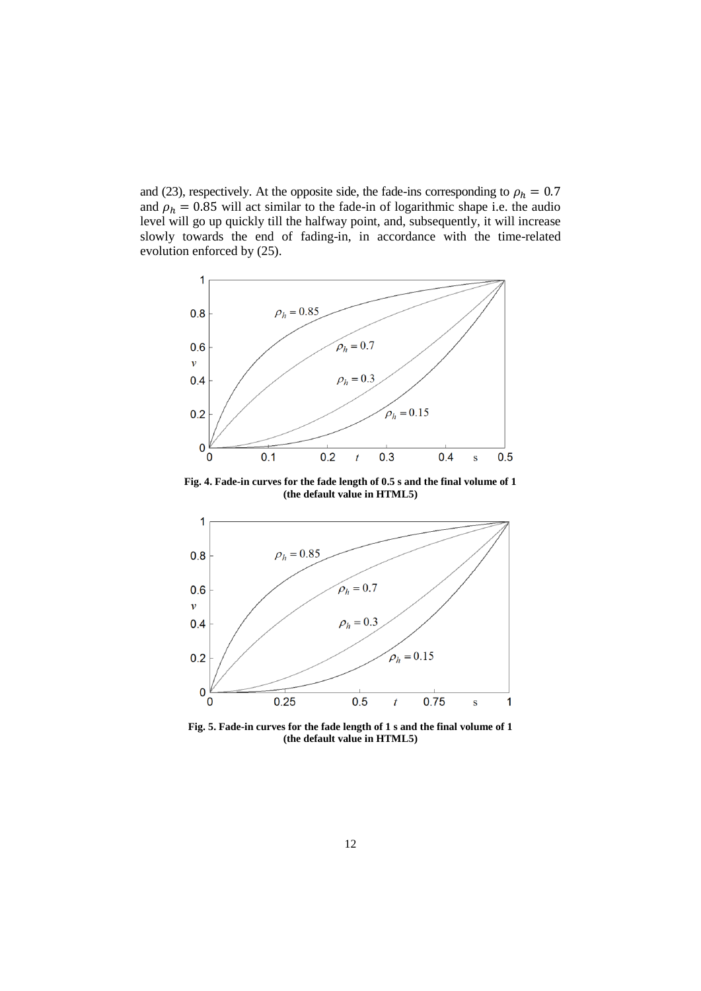and (23), respectively. At the opposite side, the fade-ins corresponding to  $\rho_h = 0.7$ and  $\rho_h = 0.85$  will act similar to the fade-in of logarithmic shape i.e. the audio level will go up quickly till the halfway point, and, subsequently, it will increase slowly towards the end of fading-in, in accordance with the time-related evolution enforced by (25).



**Fig. 4. Fade-in curves for the fade length of 0.5 s and the final volume of 1 (the default value in HTML5)**



**Fig. 5. Fade-in curves for the fade length of 1 s and the final volume of 1 (the default value in HTML5)**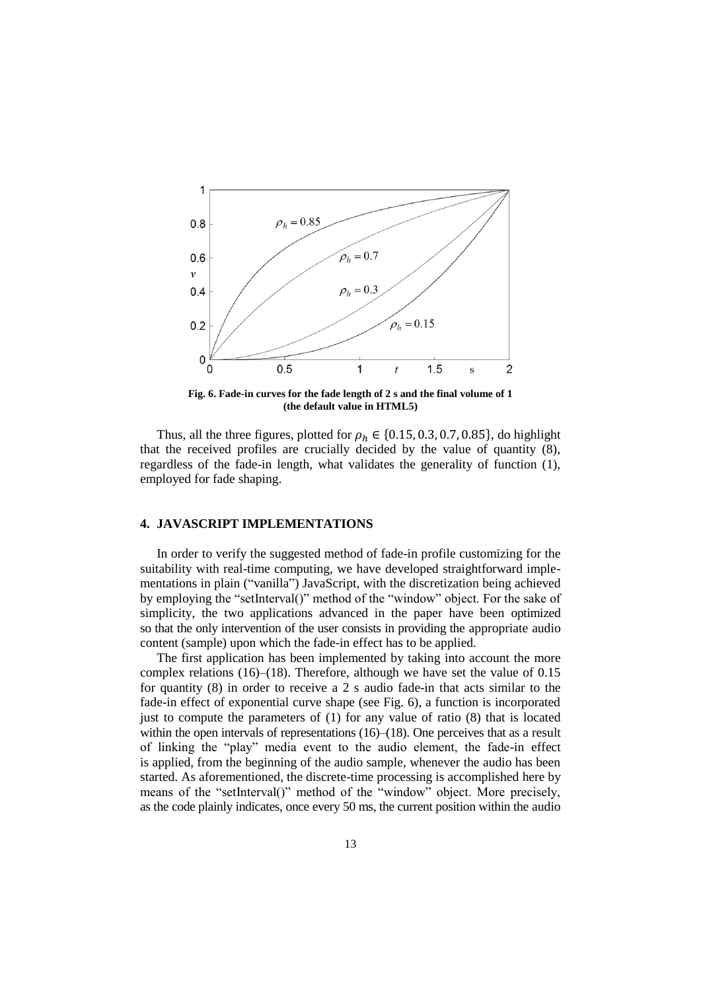

**Fig. 6. Fade-in curves for the fade length of 2 s and the final volume of 1 (the default value in HTML5)**

Thus, all the three figures, plotted for  $\rho_h \in \{0.15, 0.3, 0.7, 0.85\}$ , do highlight that the received profiles are crucially decided by the value of quantity (8), regardless of the fade-in length, what validates the generality of function (1), employed for fade shaping.

## **4. JAVASCRIPT IMPLEMENTATIONS**

In order to verify the suggested method of fade-in profile customizing for the suitability with real-time computing, we have developed straightforward implementations in plain ("vanilla") JavaScript, with the discretization being achieved by employing the "setInterval()" method of the "window" object. For the sake of simplicity, the two applications advanced in the paper have been optimized so that the only intervention of the user consists in providing the appropriate audio content (sample) upon which the fade-in effect has to be applied.

The first application has been implemented by taking into account the more complex relations  $(16)$ – $(18)$ . Therefore, although we have set the value of 0.15 for quantity (8) in order to receive a 2 s audio fade-in that acts similar to the fade-in effect of exponential curve shape (see Fig. 6), a function is incorporated just to compute the parameters of  $(1)$  for any value of ratio  $(8)$  that is located within the open intervals of representations (16)–(18). One perceives that as a result of linking the "play" media event to the audio element, the fade-in effect is applied, from the beginning of the audio sample, whenever the audio has been started. As aforementioned, the discrete-time processing is accomplished here by means of the "setInterval()" method of the "window" object. More precisely, as the code plainly indicates, once every 50 ms, the current position within the audio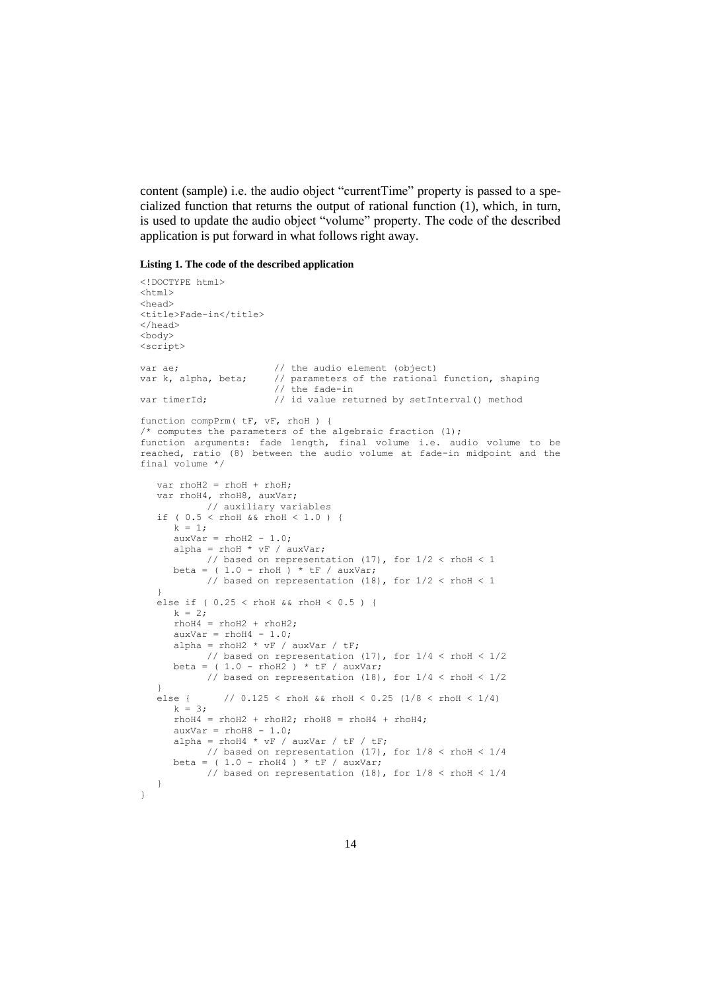content (sample) i.e. the audio object "currentTime" property is passed to a specialized function that returns the output of rational function (1), which, in turn, is used to update the audio object "volume" property. The code of the described application is put forward in what follows right away.

#### **Listing 1. The code of the described application**

```
<!DOCTYPE html>
<html><head>
<title>Fade-in</title>
</head>
<body>
<script>
var ae; \frac{1}{1 + \frac{1}{1 + \frac{1}{1}} / the audio element (object)<br>var k, alpha, beta; // parameters of the rational
                         // parameters of the rational function, shaping
                          // the fade-in
var timerId; \frac{1}{2} // id value returned by setInterval() method
function compPrm( tF, vF, rhoH ) {
/* computes the parameters of the algebraic fraction (1);
function arguments: fade length, final volume i.e. audio volume to be 
reached, ratio (8) between the audio volume at fade-in midpoint and the 
final volume */
   var rhoH2 =rhoH +rhoH;
   var rhoH4, rhoH8, auxVar;
            // auxiliary variables
   if ( 0.5 < rhoH && rhoH < 1.0 ) {
      k = 1:
      auxVar = rho<sub>2</sub> - 1.0;
      alpha = rhoH * vF / auxVar;
           // based on representation (17), for 1/2 < rhoH < 1
      beta = (1.0 - \text{rhoH}) * \text{tr} / \text{auxVar};
            // based on representation (18), for 1/2 < rhoH < 1
   }
   else if ( 0.25 < rhoH && rhoH < 0.5 ) {
      k = 2;rho4 = rhoH2 + rhoH2;auxVar = rho4 - 1.0;
      alpha = rhoH2 * vF / auxVar / tF;
            // based on representation (17), for 1/4 < rhoH < 1/2beta = (1.0 - \text{rhoH2}) * \text{tr} / \text{auxVar};// based on representation (18), for 1/4 < rhoH < 1/2}
   else { // 0.125 < rhoH && rhoH < 0.25 (1/8 < rhoH < 1/4)
      k = 3:
      rhoH4 = rhoH2 + rhoH2; rhoH8 = rhoH4 + rhoH4;
      auxVar = rho8 - 1.0;
      alpha = rhoH4 * vF / auxVar / tF / tF;
            // based on representation (17), for 1/8 < rhoH < 1/4beta = (1.0 - \text{rhoH4}) * \text{tr} / \text{auxVar};// based on representation (18), for 1/8 < rhoH < 1/4}
}
```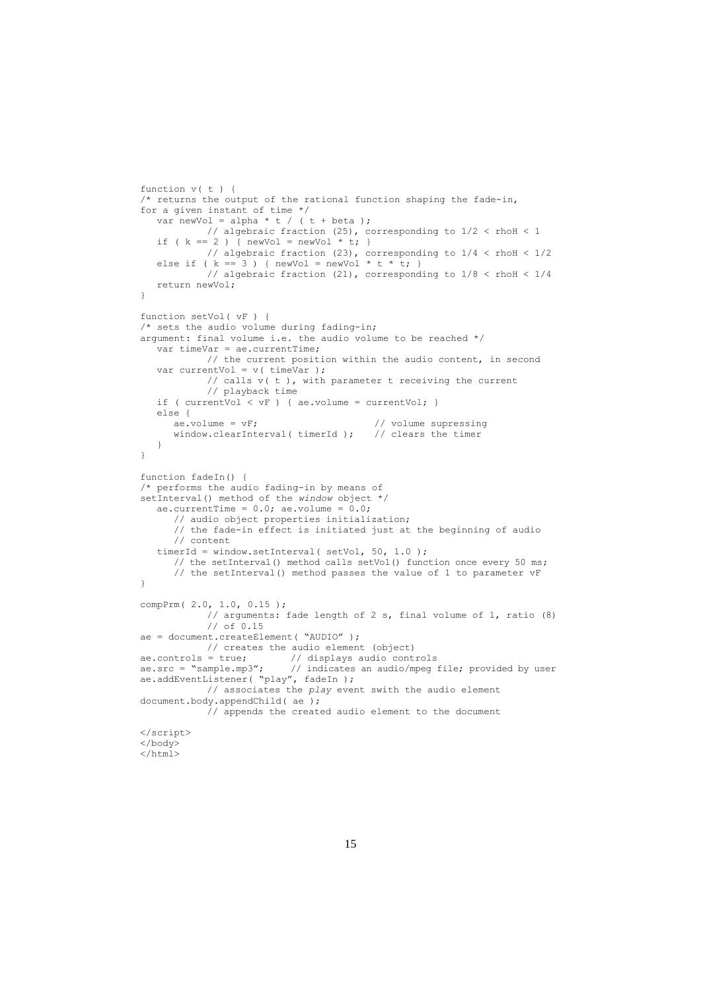```
/* returns the output of the rational function shaping the fade-in,
for a given instant of time */
   var newVol = alpha * t / ( t + beta );
           // algebraic fraction (25), corresponding to 1/2 < rhoH < 1
   if ( k == 2 ) { newVol = newVol * t; }
           // algebraic fraction (23), corresponding to 1/4 < rhoH < 1/2else if ( k == 3 ) { newVol = newVol * t * t; }
           // algebraic fraction (21), corresponding to 1/8 < rhoH < 1/4return newVol;
}
function setVol( vF ) {
/* sets the audio volume during fading-in;
argument: final volume i.e. the audio volume to be reached */
   var timeVar = ae.currentTime;
           // the current position within the audio content, in second
   var currentVol = v( timeVar );// calls v( t ), with parameter t receiving the current 
            // playback time
   if ( currentVol < vF ) { ae.volume = currentVol; }
   else {<br>ae.volume = vF;
                                          // volume supressing<br>// clears the timer
     window.clearInterval( timerId );
   }
}
function fadeIn() {
/* performs the audio fading-in by means of
setInterval() method of the window object */
   ae.currentTime = 0.0; ae.volume = 0.0;
     // audio object properties initialization;
      // the fade-in effect is initiated just at the beginning of audio 
      // content
   timerId = window.setInterval( setVol, 50, 1.0 );
      // the setInterval() method calls setVol() function once every 50 ms;
      // the setInterval() method passes the value of 1 to parameter vF
}
compPrm( 2.0, 1.0, 0.15 );
            // arguments: fade length of 2 s, final volume of 1, ratio (8) 
            // of 0.15
ae = document.createElement( "AUDIO" );
            // creates the audio element (object)
ae.controls = true; // displays audio controls
ae.src = "sample.mp3"; // indicates an audio/mpeg file; provided by user
ae.addEventListener( "play", fadeIn );
          // associates the play event swith the audio element
document.body.appendChild( ae );
           // appends the created audio element to the document
</script>
</body>
```

```
\langle/html>
```
function v( t ) {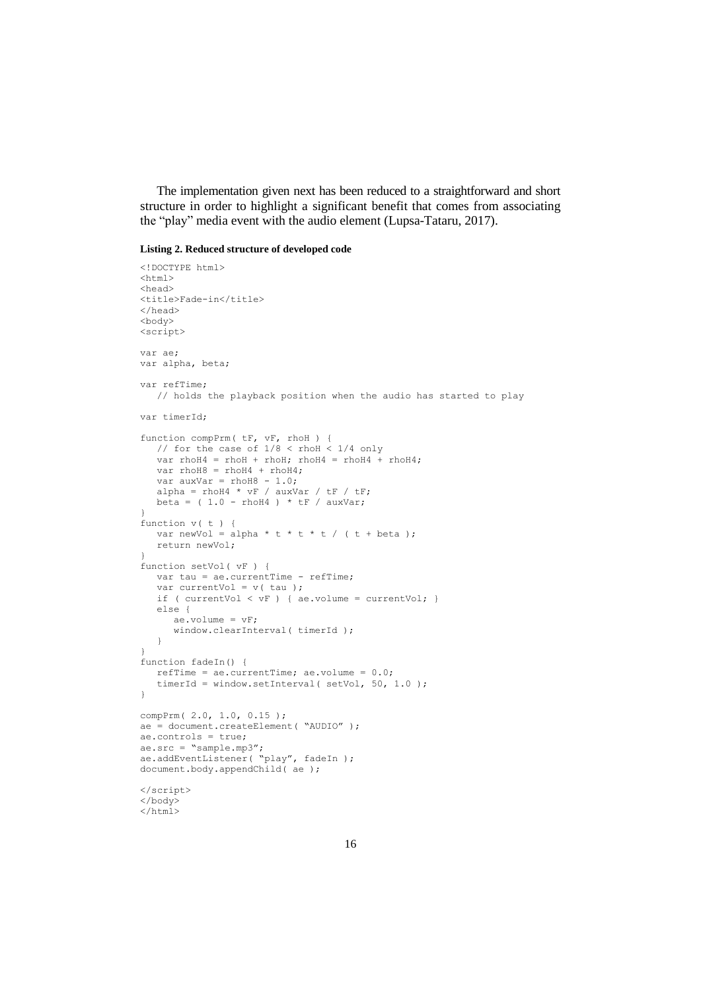The implementation given next has been reduced to a straightforward and short structure in order to highlight a significant benefit that comes from associating the "play" media event with the audio element (Lupsa-Tataru, 2017).

#### **Listing 2. Reduced structure of developed code**

```
<!DOCTYPE html>
\verb|html|<head>
<title>Fade-in</title>
</head>
<body>
<script>
var ae;
var alpha, beta;
var refTime;
   // holds the playback position when the audio has started to play
var timerId;
function compPrm( tF, vF, rhoH ) {
  // for the case of 1/8 < rhoH < 1/4 only
   var rhoH4 = rhoH + rhoH; rhoH4 = rhoH4 + rhoH4;
  var rhoH8 = rhoH4 + rhoH4;
  var auxVar = rhoH8 - 1.0;
   alpha = rhoH4 * vF / auxVar / tF / tF;
   beta = (1.0 - \text{rhoH4}) * \text{tr} / \text{auxVar};
}
function v( t ) {
  var newVol = alpha * t * t * t / ( t + beta );
   return newVol;
}
function setVol( vF ) {
   var tau = ae.currentTime - refTime;
   var currentVol = v( tau );
  if ( currentVol < vF ) { ae. volume = currentVol; }
   else {
      ae.volume = vF;
      window.clearInterval( timerId );
   }
}
function fadeIn() {
   refTime = ae.currentTime; ae.volume = 0.0;
   timerId = window.setInterval( setVol, 50, 1.0 );
}
compPrm( 2.0, 1.0, 0.15 );
ae = document.createElement( "AUDIO" );
ae.controls = true;
ae.src = "sample.mp3";
ae.addEventListener( "play", fadeIn );
document.body.appendChild( ae );
</script>
</body>
\langle/html>
```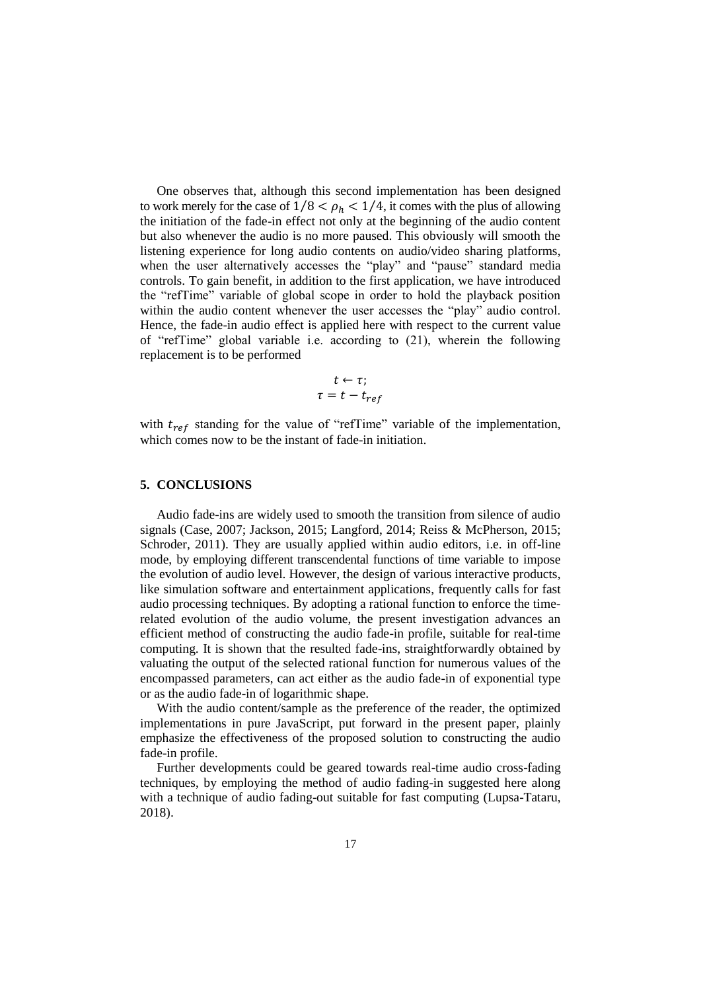One observes that, although this second implementation has been designed to work merely for the case of  $1/8 < \rho_h < 1/4$ , it comes with the plus of allowing the initiation of the fade-in effect not only at the beginning of the audio content but also whenever the audio is no more paused. This obviously will smooth the listening experience for long audio contents on audio/video sharing platforms, when the user alternatively accesses the "play" and "pause" standard media controls. To gain benefit, in addition to the first application, we have introduced the "refTime" variable of global scope in order to hold the playback position within the audio content whenever the user accesses the "play" audio control. Hence, the fade-in audio effect is applied here with respect to the current value of "refTime" global variable i.e. according to (21), wherein the following replacement is to be performed

$$
t \leftarrow \tau;
$$
  

$$
\tau = t - t_{ref}
$$

with  $t_{ref}$  standing for the value of "refTime" variable of the implementation, which comes now to be the instant of fade-in initiation.

## **5. CONCLUSIONS**

Audio fade-ins are widely used to smooth the transition from silence of audio signals (Case, 2007; Jackson, 2015; Langford, 2014; Reiss & McPherson, 2015; Schroder, 2011). They are usually applied within audio editors, i.e. in off-line mode, by employing different transcendental functions of time variable to impose the evolution of audio level. However, the design of various interactive products, like simulation software and entertainment applications, frequently calls for fast audio processing techniques. By adopting a rational function to enforce the timerelated evolution of the audio volume, the present investigation advances an efficient method of constructing the audio fade-in profile, suitable for real-time computing. It is shown that the resulted fade-ins, straightforwardly obtained by valuating the output of the selected rational function for numerous values of the encompassed parameters, can act either as the audio fade-in of exponential type or as the audio fade-in of logarithmic shape.

With the audio content/sample as the preference of the reader, the optimized implementations in pure JavaScript, put forward in the present paper, plainly emphasize the effectiveness of the proposed solution to constructing the audio fade-in profile.

Further developments could be geared towards real-time audio cross-fading techniques, by employing the method of audio fading-in suggested here along with a technique of audio fading-out suitable for fast computing (Lupsa-Tataru, 2018).